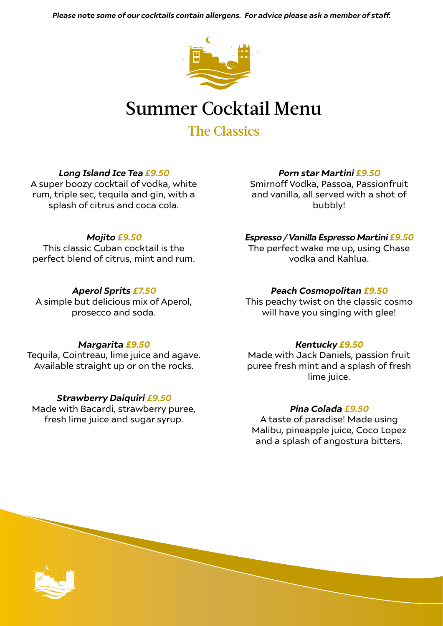*Please note some of our cocktails contain allergens. For advice please ask a member of staff.*



# Summer Cocktail Menu

The Classics

# *Long Island Ice Tea £9.50*

A super boozy cocktail of vodka, white rum, triple sec, tequila and gin, with a splash of citrus and coca cola.

### *Mojito £9.50*

This classic Cuban cocktail is the perfect blend of citrus, mint and rum.

### *Aperol Sprits £7.50*

A simple but delicious mix of Aperol, prosecco and soda.

#### *Margarita £9.50*

Tequila, Cointreau, lime juice and agave. Available straight up or on the rocks.

#### *Strawberry Daiquiri £9.50*

Made with Bacardi, strawberry puree, fresh lime juice and sugar syrup.

#### *Porn star Martini £9.50*

Smirnoff Vodka, Passoa, Passionfruit and vanilla, all served with a shot of bubbly!

#### *Espresso / Vanilla Espresso Martini £9.50*

The perfect wake me up, using Chase vodka and Kahlua.

#### *Peach Cosmopolitan £9.50*

This peachy twist on the classic cosmo will have you singing with glee!

#### *Kentucky £9.50*

Made with Jack Daniels, passion fruit puree fresh mint and a splash of fresh lime juice.

#### *Pina Colada £9.50*

A taste of paradise! Made using Malibu, pineapple juice, Coco Lopez and a splash of angostura bitters.